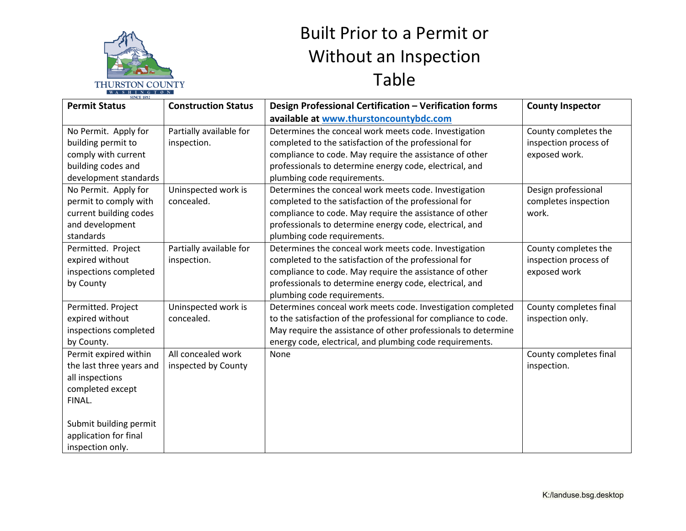

## Built Prior to a Permit or Without an Inspection Table

| <u>s n i is o i o is</u><br><b>SINCE 1852</b> |                            |                                                                 |                         |  |
|-----------------------------------------------|----------------------------|-----------------------------------------------------------------|-------------------------|--|
| <b>Permit Status</b>                          | <b>Construction Status</b> | Design Professional Certification - Verification forms          | <b>County Inspector</b> |  |
|                                               |                            | available at www.thurstoncountybdc.com                          |                         |  |
| No Permit. Apply for                          | Partially available for    | Determines the conceal work meets code. Investigation           | County completes the    |  |
| building permit to                            | inspection.                | completed to the satisfaction of the professional for           | inspection process of   |  |
| comply with current                           |                            | compliance to code. May require the assistance of other         | exposed work.           |  |
| building codes and                            |                            | professionals to determine energy code, electrical, and         |                         |  |
| development standards                         |                            | plumbing code requirements.                                     |                         |  |
| No Permit. Apply for                          | Uninspected work is        | Determines the conceal work meets code. Investigation           | Design professional     |  |
| permit to comply with                         | concealed.                 | completed to the satisfaction of the professional for           | completes inspection    |  |
| current building codes                        |                            | compliance to code. May require the assistance of other         | work.                   |  |
| and development                               |                            | professionals to determine energy code, electrical, and         |                         |  |
| standards                                     |                            | plumbing code requirements.                                     |                         |  |
| Permitted. Project                            | Partially available for    | Determines the conceal work meets code. Investigation           | County completes the    |  |
| expired without                               | inspection.                | completed to the satisfaction of the professional for           | inspection process of   |  |
| inspections completed                         |                            | compliance to code. May require the assistance of other         | exposed work            |  |
| by County                                     |                            | professionals to determine energy code, electrical, and         |                         |  |
|                                               |                            | plumbing code requirements.                                     |                         |  |
| Permitted. Project                            | Uninspected work is        | Determines conceal work meets code. Investigation completed     | County completes final  |  |
| expired without                               | concealed.                 | to the satisfaction of the professional for compliance to code. | inspection only.        |  |
| inspections completed                         |                            | May require the assistance of other professionals to determine  |                         |  |
| by County.                                    |                            | energy code, electrical, and plumbing code requirements.        |                         |  |
| Permit expired within                         | All concealed work         | None                                                            | County completes final  |  |
| the last three years and                      | inspected by County        |                                                                 | inspection.             |  |
| all inspections                               |                            |                                                                 |                         |  |
| completed except                              |                            |                                                                 |                         |  |
| FINAL.                                        |                            |                                                                 |                         |  |
|                                               |                            |                                                                 |                         |  |
| Submit building permit                        |                            |                                                                 |                         |  |
| application for final                         |                            |                                                                 |                         |  |
| inspection only.                              |                            |                                                                 |                         |  |